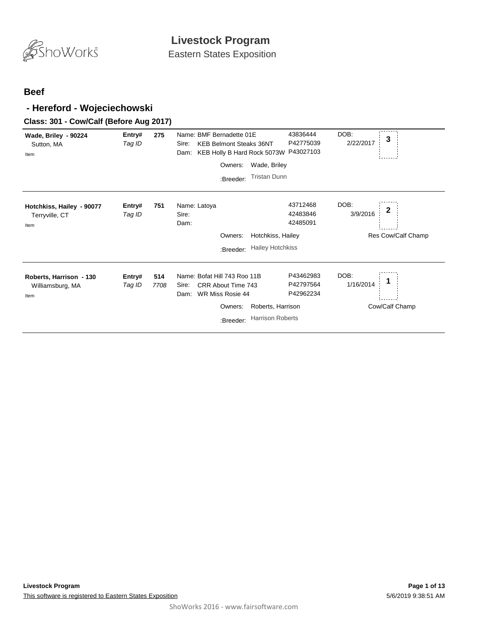

Eastern States Exposition

#### **Beef**

### **- Hereford - Wojeciechowski**

#### **Class: 301 - Cow/Calf (Before Aug 2017)**

| Wade, Briley - 90224<br>Sutton, MA<br>Item          | Entry#<br>Tag ID | 275         | Name: BMF Bernadette 01E<br><b>KEB Belmont Steaks 36NT</b><br>Sire:<br>KEB Holly B Hard Rock 5073W P43027103<br>Dam:                                            | 43836444<br>P42775039               | DOB:<br>3<br>2/22/2017                   |
|-----------------------------------------------------|------------------|-------------|-----------------------------------------------------------------------------------------------------------------------------------------------------------------|-------------------------------------|------------------------------------------|
|                                                     |                  |             | Wade, Briley<br>Owners:                                                                                                                                         |                                     |                                          |
|                                                     |                  |             | <b>Tristan Dunn</b><br>:Breeder:                                                                                                                                |                                     |                                          |
| Hotchkiss, Hailey - 90077<br>Terryville, CT<br>Item | Entry#<br>Tag ID | 751         | Name: Latoya<br>Sire:<br>Dam:                                                                                                                                   | 43712468<br>42483846<br>42485091    | DOB:<br>2<br>3/9/2016                    |
|                                                     |                  |             | Hotchkiss, Hailey<br>Owners:                                                                                                                                    |                                     | Res Cow/Calf Champ                       |
|                                                     |                  |             | <b>Hailey Hotchkiss</b><br>:Breeder:                                                                                                                            |                                     |                                          |
| Roberts, Harrison - 130<br>Williamsburg, MA<br>Item | Entry#<br>Tag ID | 514<br>7708 | Name: Bofat Hill 743 Roo 11B<br>CRR About Time 743<br>Sire:<br>WR Miss Rosie 44<br>Dam:<br>Owners:<br>Roberts, Harrison<br><b>Harrison Roberts</b><br>:Breeder: | P43462983<br>P42797564<br>P42962234 | DOB:<br>1<br>1/16/2014<br>Cow/Calf Champ |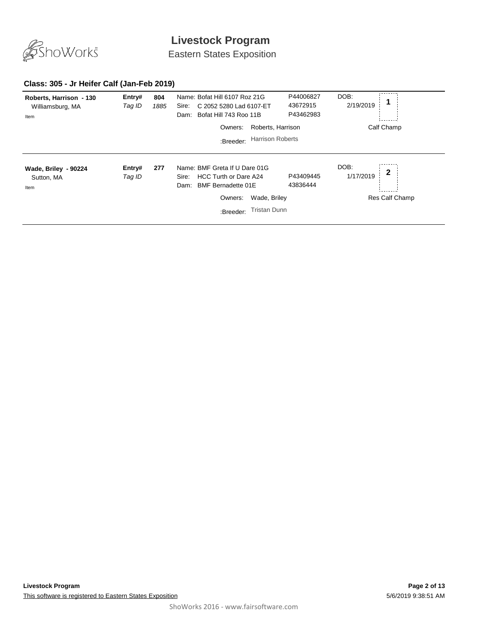

Eastern States Exposition

#### **Class: 305 - Jr Heifer Calf (Jan-Feb 2019)**

| Roberts, Harrison - 130<br>Williamsburg, MA<br>Item | Entry#<br>Tag ID | 804<br>1885 | Name: Bofat Hill 6107 Roz 21G<br>C 2052 5280 Lad 6107-ET<br>Sire:<br>Bofat Hill 743 Roo 11B<br>Dam:                                                                 | P44006827<br>43672915<br>P43462983 | DOB:<br>2/19/2019                                   |
|-----------------------------------------------------|------------------|-------------|---------------------------------------------------------------------------------------------------------------------------------------------------------------------|------------------------------------|-----------------------------------------------------|
|                                                     |                  |             | Roberts, Harrison<br>Owners:<br><b>Harrison Roberts</b><br>:Breeder:                                                                                                |                                    | Calf Champ                                          |
| Wade, Briley - 90224<br>Sutton, MA<br>Item          | Entry#<br>Tag ID | 277         | Name: BMF Greta If U Dare 01G<br>HCC Turth or Dare A24<br>Sire:<br><b>BMF Bernadette 01E</b><br>Dam:<br>Wade, Briley<br>Owners:<br><b>Tristan Dunn</b><br>:Breeder: | P43409445<br>43836444              | DOB:<br>$\mathbf{2}$<br>1/17/2019<br>Res Calf Champ |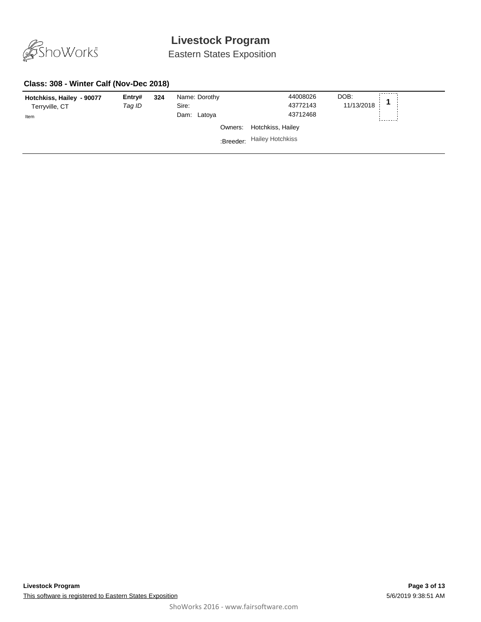

Eastern States Exposition

#### **Class: 308 - Winter Calf (Nov-Dec 2018)**

| Hotchkiss, Hailey - 90077<br>Terryville, CT<br>Item | Entry#<br>Tag ID | 324 | Name: Dorothy<br>Sire:<br>Dam: Latoya |         | 44008026<br>43772143<br>43712468 | DOB:<br>11/13/2018 |  |
|-----------------------------------------------------|------------------|-----|---------------------------------------|---------|----------------------------------|--------------------|--|
|                                                     |                  |     |                                       | Owners: | Hotchkiss, Hailey                |                    |  |
|                                                     |                  |     |                                       |         | :Breeder: Hailey Hotchkiss       |                    |  |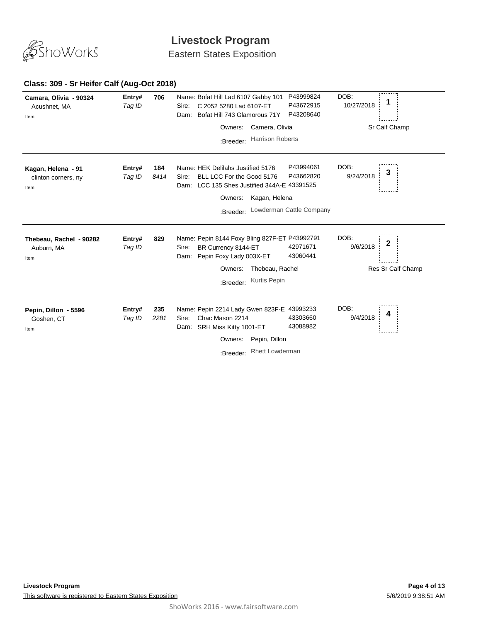

Eastern States Exposition

#### **706** *Tag ID* Name: Bofat Hill Lad 6107 Gabby 101 **Entry# <sup>1</sup>** Sire: C 2052 5280 Lad 6107-ET DOB: 10/27/2018 Dam: Bofat Hill 743 Glamorous 71Y P43999824 P43672915 P43208640 **Camara, Olivia - 90324** Acushnet, MA Sr Calf Champ Item Owners: Camera, Olivia :Breeder: Harrison Roberts **184** *Tag ID 8414* **Entry# 184** Name: HEK Delilahs Justified 5176 P43994061 DOB: 3<br>*Tag ID 8414* Sire: BLL LCC Eor the Good 5176 P43662820 9/24/2018 **3** Sire: BLL LCC For the Good 5176 DOB: 9/24/2018 Dam: LCC 135 Shes Justified 344A-E 43391525 P43994061 P43662820 **Kagan, Helena - 91** clinton corners, ny Item Owners: Kagan, Helena :Breeder: Lowderman Cattle Company **829** *Tag ID* Name: Pepin 8144 Foxy Bling 827F-ET P43992791 **Entry# <sup>2</sup>** Sire: BR Currency 8144-ET DOB: 9/6/2018 Dam: Pepin Foxy Lady 003X-ET 42971671 43060441 **Thebeau, Rachel - 90282** Auburn, MA Res Sr Calf Champ Item Owners: Thebeau, Rachel :Breeder: Kurtis Pepin **235** *Tag ID 2281* **Entry# 235** Name: Pepin 2214 Lady Gwen 823F-E 43993233 DOB:  $\frac{1}{4}$ <br>Tag ID 2384 Siro: Chao Mason 2314 13303660 0/4/2018 4 Sire: Chac Mason 2214 DOB: 9/4/2018 Dam: SRH Miss Kitty 1001-ET 43303660 43088982 **Pepin, Dillon - 5596** Goshen, CT Item Owners: Pepin, Dillon :Breeder: Rhett Lowderman

#### **Class: 309 - Sr Heifer Calf (Aug-Oct 2018)**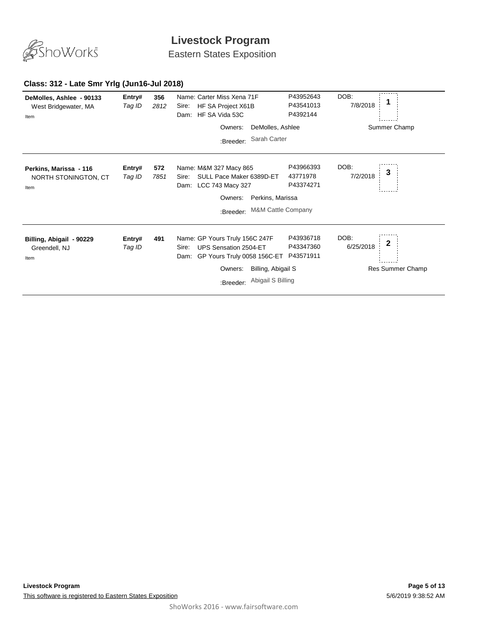

Eastern States Exposition

### **Class: 312 - Late Smr Yrlg (Jun16-Jul 2018)**

| DeMolles, Ashlee - 90133<br>West Bridgewater, MA<br>Item | Entry#<br>Tag ID | 356<br>2812 | Name: Carter Miss Xena 71F<br>HF SA Project X61B<br>Sire:<br>HF SA Vida 53C<br>Dam:                                                                                        | P43952643<br>P43541013<br>P4392144  | DOB:<br>7/8/2018                           |
|----------------------------------------------------------|------------------|-------------|----------------------------------------------------------------------------------------------------------------------------------------------------------------------------|-------------------------------------|--------------------------------------------|
|                                                          |                  |             | DeMolles, Ashlee<br>Owners:                                                                                                                                                |                                     | Summer Champ                               |
|                                                          |                  |             | Sarah Carter<br>:Breeder:                                                                                                                                                  |                                     |                                            |
| Perkins, Marissa - 116<br>NORTH STONINGTON, CT<br>Item   | Entry#<br>Tag ID | 572<br>7851 | Name: M&M 327 Macy 865<br>SULL Pace Maker 6389D-ET<br>Sire:<br>LCC 743 Macy 327<br>Dam:<br>Perkins, Marissa<br>Owners:                                                     | P43966393<br>43771978<br>P43374271  | DOB:<br>3<br>7/2/2018                      |
|                                                          |                  |             | <b>M&amp;M Cattle Company</b><br>:Breeder:                                                                                                                                 |                                     |                                            |
| Billing, Abigail - 90229<br>Greendell, NJ<br>Item        | Entry#<br>Tag ID | 491         | Name: GP Yours Truly 156C 247F<br>UPS Sensation 2504-ET<br>Sire:<br>GP Yours Truly 0058 156C-ET<br>Dam:<br>Billing, Abigail S<br>Owners:<br>Abigail S Billing<br>:Breeder: | P43936718<br>P43347360<br>P43571911 | DOB:<br>2<br>6/25/2018<br>Res Summer Champ |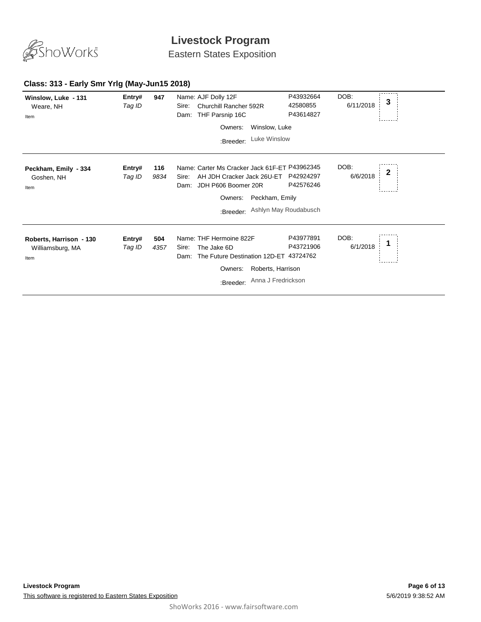

Eastern States Exposition

| Winslow, Luke - 131<br>Weare, NH<br>Item            | Entry#<br>Tag ID | 947         | Name: AJF Dolly 12F<br>Churchill Rancher 592R<br>Sire:<br>THF Parsnip 16C<br>Dam:                                                           | P43932664<br>42580855<br>P43614827                                | DOB:<br>3<br>6/11/2018 |  |
|-----------------------------------------------------|------------------|-------------|---------------------------------------------------------------------------------------------------------------------------------------------|-------------------------------------------------------------------|------------------------|--|
|                                                     |                  |             | Owners:<br>:Breeder:                                                                                                                        | Winslow, Luke<br>Luke Winslow                                     |                        |  |
| Peckham, Emily - 334<br>Goshen, NH<br>Item          | Entry#<br>Tag ID | 116<br>9834 | Name: Carter Ms Cracker Jack 61F-ET P43962345<br>AH JDH Cracker Jack 26U-ET<br>Sire:<br>JDH P606 Boomer 20R<br>Dam:<br>Owners:<br>:Breeder: | P42924297<br>P42576246<br>Peckham, Emily<br>Ashlyn May Roudabusch | DOB:<br>2<br>6/6/2018  |  |
| Roberts, Harrison - 130<br>Williamsburg, MA<br>Item | Entry#<br>Tag ID | 504<br>4357 | Name: THF Hermoine 822F<br>The Jake 6D<br>Sire:<br>The Future Destination 12D-ET 43724762<br>Dam:<br>Owners:<br>:Breeder:                   | P43977891<br>P43721906<br>Roberts, Harrison<br>Anna J Fredrickson | DOB:<br>6/1/2018       |  |

### **Class: 313 - Early Smr Yrlg (May-Jun15 2018)**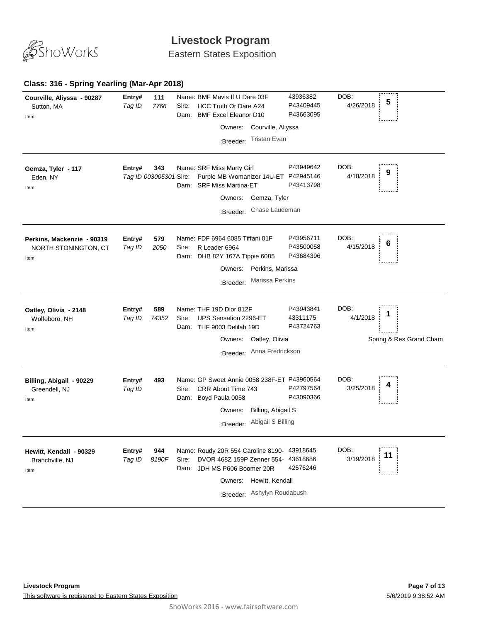

Eastern States Exposition

#### **Class: 316 - Spring Yearling (Mar-Apr 2018)**

| Courville, Aliyssa - 90287<br>Sutton, MA<br>Item           | Entry#<br>Tag ID | 111<br>7766                   | Sire:<br>Dam: | Name: BMF Mavis If U Dare 03F<br>HCC Truth Or Dare A24<br><b>BMF Excel Eleanor D10</b><br>Courville, Aliyssa<br>Owners:<br><b>Tristan Evan</b><br>:Breeder:         | 43936382<br>P43409445<br>P43663095  | DOB:<br>4/26/2018 | 5                       |
|------------------------------------------------------------|------------------|-------------------------------|---------------|---------------------------------------------------------------------------------------------------------------------------------------------------------------------|-------------------------------------|-------------------|-------------------------|
| Gemza, Tyler - 117<br>Eden, NY<br>Item                     | Entry#           | 343<br>Tag ID 003005301 Sire: |               | Name: SRF Miss Marty Girl<br>Purple MB Womanizer 14U-ET P42945146<br>Dam: SRF Miss Martina-ET<br>Gemza, Tyler<br>Owners:<br>Chase Laudeman<br>:Breeder:             | P43949642<br>P43413798              | DOB:<br>4/18/2018 | 9                       |
| Perkins, Mackenzie - 90319<br>NORTH STONINGTON, CT<br>Item | Entry#<br>Tag ID | 579<br>2050                   | Sire:         | Name: FDF 6964 6085 Tiffani 01F<br>R Leader 6964<br>Dam: DHB 82Y 167A Tippie 6085<br>Perkins, Marissa<br>Owners:<br>Marissa Perkins<br>:Breeder:                    | P43956711<br>P43500058<br>P43684396 | DOB:<br>4/15/2018 | 6                       |
| Oatley, Olivia - 2148<br>Wolfeboro, NH<br>Item             | Entry#<br>Tag ID | 589<br>74352                  | Sire:<br>Dam: | Name: THF 19D Dior 812F<br>UPS Sensation 2296-ET<br>THF 9003 Delilah 19D<br>Owners:<br>Oatley, Olivia<br>Anna Fredrickson<br>:Breeder:                              | P43943841<br>43311175<br>P43724763  | DOB:<br>4/1/2018  | Spring & Res Grand Cham |
| Billing, Abigail - 90229<br>Greendell, NJ<br>Item          | Entry#<br>Tag ID | 493                           | Sire:         | Name: GP Sweet Annie 0058 238F-ET P43960564<br>CRR About Time 743<br>Dam: Boyd Paula 0058<br>Billing, Abigail S<br>Owners:<br>Abigail S Billing<br>:Breeder:        | P42797564<br>P43090366              | DOB:<br>3/25/2018 |                         |
| Hewitt, Kendall - 90329<br>Branchville, NJ<br>Item         | Entry#<br>Tag ID | 944<br>8190F                  | Sire:<br>Dam: | Name: Roudy 20R 554 Caroline 8190- 43918645<br>DVOR 468Z 159P Zenner 554-<br>JDH MS P606 Boomer 20R<br>Owners:<br>Hewitt, Kendall<br>Ashylyn Roudabush<br>:Breeder: | 43618686<br>42576246                | DOB:<br>3/19/2018 | 11                      |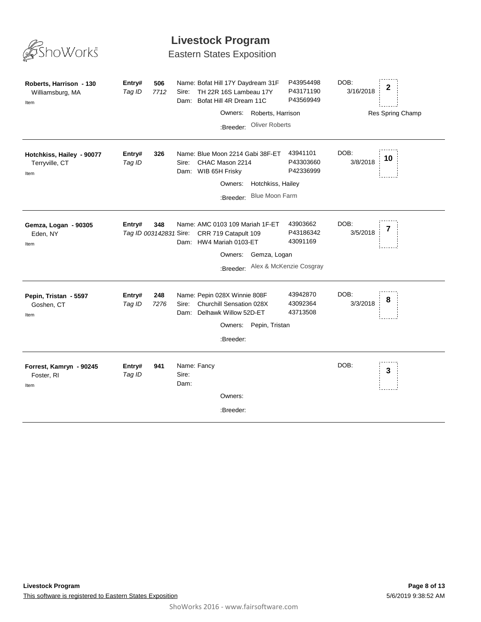

Eastern States Exposition

| Roberts, Harrison - 130<br>Williamsburg, MA<br>Item | Entry#<br>Tag ID                 | 506<br>7712 | Sire:                        | Name: Bofat Hill 17Y Daydream 31F<br>TH 22R 16S Lambeau 17Y<br>Dam: Bofat Hill 4R Dream 11C<br>Owners:<br>:Breeder: | Roberts, Harrison<br><b>Oliver Roberts</b>        | P43954498<br>P43171190<br>P43569949 | DOB:<br>3/16/2018 | $\mathbf 2$<br>Res Spring Champ |
|-----------------------------------------------------|----------------------------------|-------------|------------------------------|---------------------------------------------------------------------------------------------------------------------|---------------------------------------------------|-------------------------------------|-------------------|---------------------------------|
| Hotchkiss, Hailey - 90077<br>Terryville, CT<br>Item | Entry#<br>Tag ID                 | 326         | Sire:                        | Name: Blue Moon 2214 Gabi 38F-ET<br>CHAC Mason 2214<br>Dam: WIB 65H Frisky<br>Owners:<br>:Breeder:                  | Hotchkiss, Hailey<br><b>Blue Moon Farm</b>        | 43941101<br>P43303660<br>P42336999  | DOB:<br>3/8/2018  | 10                              |
| Gemza, Logan - 90305<br>Eden, NY<br>Item            | Entry#<br>Tag ID 003142831 Sire: | 348         |                              | Name: AMC 0103 109 Mariah 1F-ET<br>CRR 719 Catapult 109<br>Dam: HW4 Mariah 0103-ET<br>Owners:                       | Gemza, Logan<br>:Breeder: Alex & McKenzie Cosgray | 43903662<br>P43186342<br>43091169   | DOB:<br>3/5/2018  | 7                               |
| Pepin, Tristan - 5597<br>Goshen, CT<br>Item         | Entry#<br>Tag ID                 | 248<br>7276 | Sire:<br>Dam:                | Name: Pepin 028X Winnie 808F<br>Churchill Sensation 028X<br>Delhawk Willow 52D-ET<br>Owners:<br>:Breeder:           | Pepin, Tristan                                    | 43942870<br>43092364<br>43713508    | DOB:<br>3/3/2018  | 8                               |
| Forrest, Kamryn - 90245<br>Foster, RI<br>Item       | Entry#<br>Tag ID                 | 941         | Name: Fancy<br>Sire:<br>Dam: | Owners:<br>:Breeder:                                                                                                |                                                   |                                     | DOB:              | 3                               |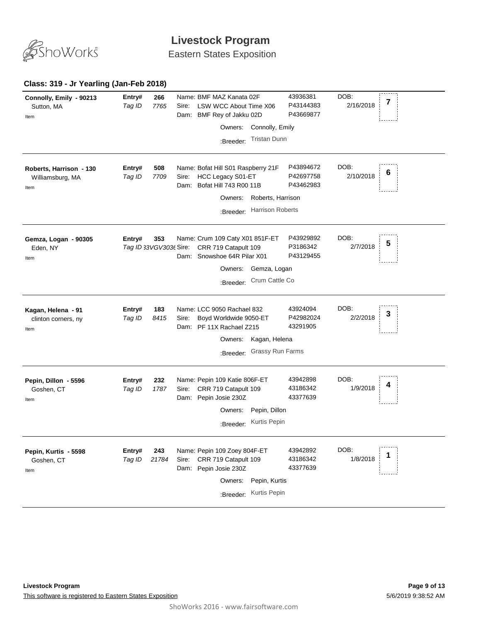

Eastern States Exposition

#### **Class: 319 - Jr Yearling (Jan-Feb 2018)**

| Connolly, Emily - 90213<br>Sutton, MA<br>Item       | Entry#<br>266<br>Tag ID<br>7765         | Sire:         | Name: BMF MAZ Kanata 02F<br>LSW WCC About Time X06<br>Dam: BMF Rey of Jakku 02D<br>Connolly, Emily<br>Owners:<br><b>Tristan Dunn</b><br>:Breeder:         | 43936381<br>P43144383<br>P43669877  | DOB:<br>7<br>2/16/2018 |  |
|-----------------------------------------------------|-----------------------------------------|---------------|-----------------------------------------------------------------------------------------------------------------------------------------------------------|-------------------------------------|------------------------|--|
| Roberts, Harrison - 130<br>Williamsburg, MA<br>Item | Entry#<br>508<br>Tag ID<br>7709         | Sire:<br>Dam: | Name: Bofat Hill S01 Raspberry 21F<br>HCC Legacy S01-ET<br>Bofat Hill 743 R00 11B<br>Roberts, Harrison<br>Owners:<br><b>Harrison Roberts</b><br>:Breeder: | P43894672<br>P42697758<br>P43462983 | DOB:<br>6<br>2/10/2018 |  |
| Gemza, Logan - 90305<br>Eden, NY<br>Item            | 353<br>Entry#<br>Tag ID 33VGV303t Sire: |               | Name: Crum 109 Caty X01 851F-ET<br>CRR 719 Catapult 109<br>Dam: Snowshoe 64R Pilar X01<br>Gemza, Logan<br>Owners:<br>Crum Cattle Co<br>:Breeder:          | P43929892<br>P3186342<br>P43129455  | DOB:<br>5<br>2/7/2018  |  |
| Kagan, Helena - 91<br>clinton corners, ny<br>Item   | 183<br>Entry#<br>8415<br>Tag ID         | Sire:         | Name: LCC 9050 Rachael 832<br>Boyd Worldwide 9050-ET<br>Dam: PF 11X Rachael Z215<br>Owners:<br>Kagan, Helena<br>Grassy Run Farms<br>:Breeder:             | 43924094<br>P42982024<br>43291905   | DOB:<br>З<br>2/2/2018  |  |
| Pepin, Dillon - 5596<br>Goshen, CT<br>Item          | 232<br>Entry#<br>1787<br>Tag ID         | Sire:         | Name: Pepin 109 Katie 806F-ET<br>CRR 719 Catapult 109<br>Dam: Pepin Josie 230Z<br>Pepin, Dillon<br>Owners:<br>Kurtis Pepin<br>:Breeder:                   | 43942898<br>43186342<br>43377639    | DOB:<br>1/9/2018       |  |
| Pepin, Kurtis - 5598<br>Goshen, CT<br>Item          | 243<br>Entry#<br>21784<br>Tag ID        | Sire:         | Name: Pepin 109 Zoey 804F-ET<br>CRR 719 Catapult 109<br>Dam: Pepin Josie 230Z<br>Owners:<br>Pepin, Kurtis<br>Kurtis Pepin<br>:Breeder:                    | 43942892<br>43186342<br>43377639    | DOB:<br>1/8/2018       |  |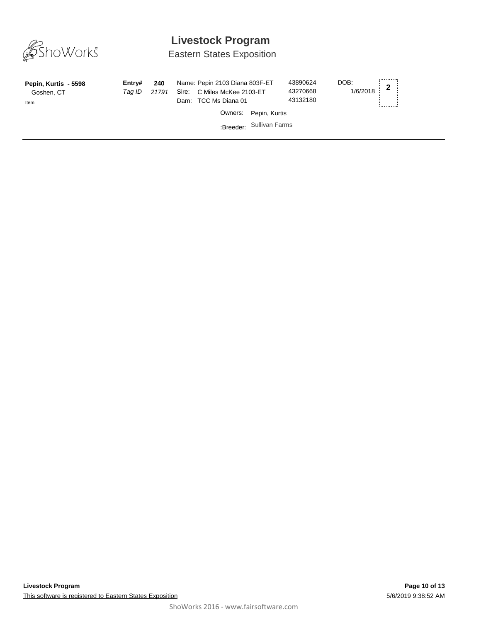

Eastern States Exposition

| Pepin, Kurtis - 5598<br>Goshen, CT<br>Item | Entrv#<br>Tag ID | 240<br>21791 | Name: Pepin 2103 Diana 803F-ET<br>Sire: C Miles McKee 2103-ET<br>Dam: TCC Ms Diana 01 | 43890624<br>43270668<br>43132180 | DOB:<br>$1/6/2018$ 2 |
|--------------------------------------------|------------------|--------------|---------------------------------------------------------------------------------------|----------------------------------|----------------------|
|                                            |                  |              | Owners: Pepin, Kurtis                                                                 |                                  |                      |
|                                            |                  |              | :Breeder: Sullivan Farms                                                              |                                  |                      |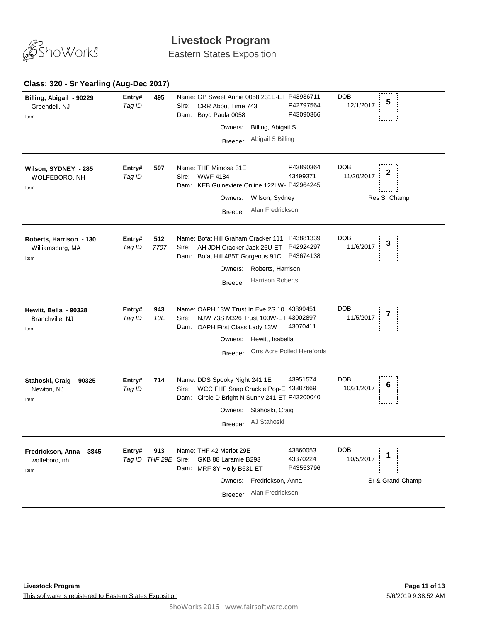

Eastern States Exposition

#### **495** *Tag ID* Name: GP Sweet Annie 0058 231E-ET P43936711 **Entry# <sup>5</sup>** Sire: CRR About Time 743 DOB: 12/1/2017 Dam: Boyd Paula 0058 P42797564 P43090366 **Billing, Abigail - 90229** Greendell, NJ Item Owners: Billing, Abigail S :Breeder: Abigail S Billing **597** *Tag ID* Name: THF Mimosa 31E **Entry# <sup>2</sup>** Sire: WWF 4184 DOB: 11/20/2017 Dam: KEB Guineviere Online 122LW-P42964245 P43890364 43499371 **Wilson, SYDNEY - 285** WOLFEBORO, NH Res Sr Champ Item Owners: Wilson, Sydney :Breeder: Alan Fredrickson **512** *Tag ID 7707* Name: Bofat Hill Graham Cracker 111 P43881339 **Entry# <sup>3</sup>** Sire: AH JDH Cracker Jack 26U-ET P42924297 DOB: 11/6/2017 Dam: Bofat Hill 485T Gorgeous 91C P43674138 **Roberts, Harrison - 130** Williamsburg, MA Item Owners: Roberts, Harrison :Breeder: Harrison Roberts **943** *Tag ID 10E* **Entry# 943** Name: OAPH 13W Trust In Eve 2S 10 43899451 DOB:<br>Tag ID 1405 Sire: NUM 73S M226 Trust 100M ET 43002897 11/5/2017 7 Sire: NJW 73S M326 Trust 100W-ET 43002897 DOB: 11/5/2017 Dam: OAPH First Class Lady 13W 43070411 **Hewitt, Bella - 90328** Branchville, NJ Item Owners: Hewitt, Isabella :Breeder: Orrs Acre Polled Herefords **714** *Tag ID* Name: DDS Spooky Night 241 1E **Entry# 714** Name: DDS Spooky Night 241 1E 43951574 DOB: **6**<br>*Tag ID* Sire: WCC FHF Snap Crackle Pop-E\_43387669 10/31/2017 **6** DOB: 10/31/2017 Dam: Circle D Bright N Sunny 241-ET P43200040 43951574 **Stahoski, Craig - 90325** Newton, NJ Item Owners: Stahoski, Craig :Breeder: AJ Stahoski **913 Entry# 913** Name: THF 42 Merlot 29E 43860053 DOB: 1<br>*Tag ID THF 29E* Sire: GKB 88 Laramie B293 43370224 10/5/2017 **1** Name: THF 42 Merlot 29E DOB: 10/5/2017 Dam: MRF 8Y Holly B631-ET 43860053 43370224 P43553796 **Fredrickson, Anna - 3845** wolfeboro, nh Sr & Grand Champ Item Owners: Fredrickson, Anna :Breeder: Alan Fredrickson

#### **Class: 320 - Sr Yearling (Aug-Dec 2017)**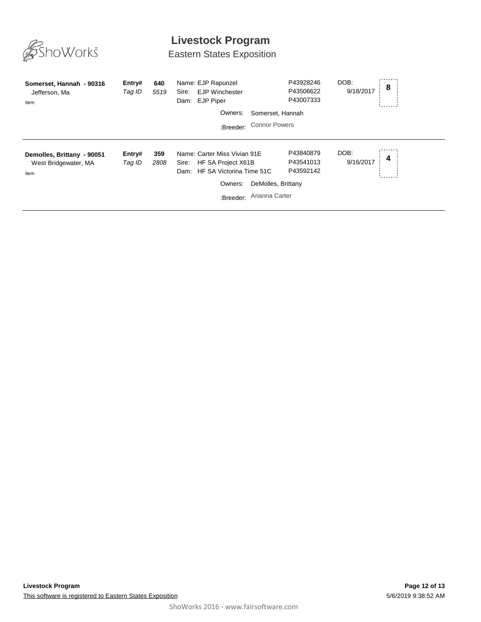

# Eastern States Exposition

| Somerset, Hannah - 90316<br>Jefferson, Ma<br>Item          | Entry#<br>Tag ID | 640<br>5519 | Name: EJP Rapunzel<br><b>EJP Winchester</b><br>Sire:<br>Dam: EJP Piper<br>Owners:<br>:Breeder:                          | P43928246<br>P43506622<br>P43007333<br>Somerset, Hannah<br><b>Connor Powers</b> | DOB:<br>9/18/2017 | 8 |
|------------------------------------------------------------|------------------|-------------|-------------------------------------------------------------------------------------------------------------------------|---------------------------------------------------------------------------------|-------------------|---|
| Demolles, Brittany - 90051<br>West Bridgewater, MA<br>Item | Entry#<br>Tag ID | 359<br>2808 | Name: Carter Miss Vivian 91E<br>HF SA Project X61B<br>Sire:<br>HF SA Victorina Time 51C<br>Dam:<br>Owners:<br>:Breeder: | P43840879<br>P43541013<br>P43592142<br>DeMolles, Brittany<br>Arianna Carter     | DOB:<br>9/16/2017 | 4 |